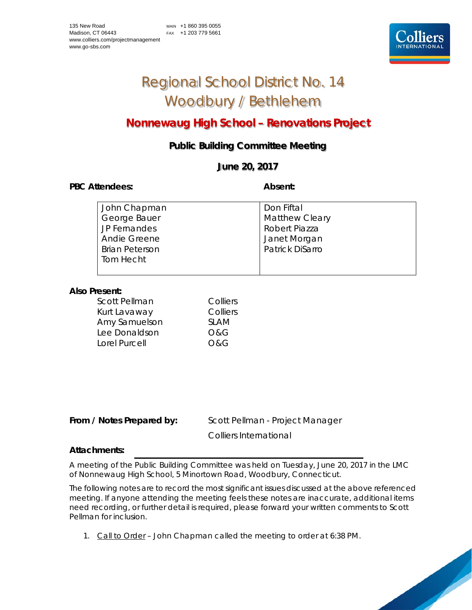# Regional School District No. 14 Woodbury / Bethlehem

# **Nonnewaug High School – Renovations Project**

## **Public Building Committee Meeting**

### **June 20, 2017**

#### PBC Attendees: **Absent: Absent: Absent: Absent:**

| John Chapman          | Don Fiftal            |
|-----------------------|-----------------------|
| George Bauer          | <b>Matthew Cleary</b> |
| JP Fernandes          | Robert Piazza         |
| <b>Andie Greene</b>   | Janet Morgan          |
| <b>Brian Peterson</b> | Patrick DiSarro       |
| Tom Hecht             |                       |
|                       |                       |

#### **Also Present:**

| Scott Pellman | Colliers       |
|---------------|----------------|
| Kurt Lavaway  | Colliers       |
| Amy Samuelson | <b>SLAM</b>    |
| Lee Donaldson | O&G            |
| Lorel Purcell | <b>O&amp;G</b> |

From / Notes Prepared by: Scott Pellman - Project Manager Colliers International

#### **Attachments:**

A meeting of the Public Building Committee was held on Tuesday, June 20, 2017 in the LMC of Nonnewaug High School, 5 Minortown Road, Woodbury, Connecticut.

The following notes are to record the most significant issues discussed at the above referenced meeting. If anyone attending the meeting feels these notes are inaccurate, additional items need recording, or further detail is required, please forward your written comments to Scott Pellman for inclusion.

1. Call to Order – John Chapman called the meeting to order at 6:38 PM.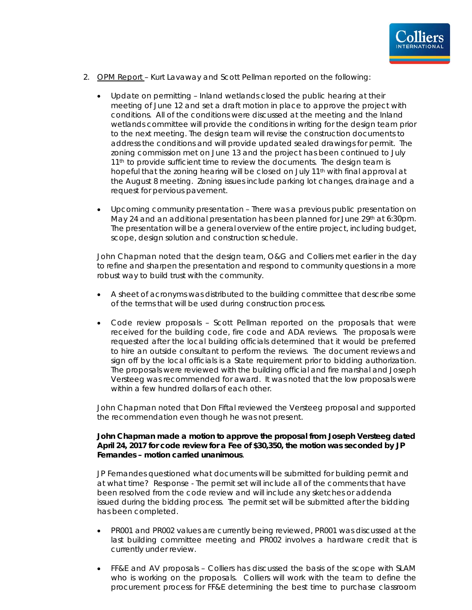

- 2. OPM Report Kurt Lavaway and Scott Pellman reported on the following:
	- Update on permitting Inland wetlands closed the public hearing at their meeting of June 12 and set a draft motion in place to approve the project with conditions. All of the conditions were discussed at the meeting and the Inland wetlands committee will provide the conditions in writing for the design team prior to the next meeting. The design team will revise the construction documents to address the conditions and will provide updated sealed drawings for permit. The zoning commission met on June 13 and the project has been continued to July 11<sup>th</sup> to provide sufficient time to review the documents. The design team is hopeful that the zoning hearing will be closed on July 11<sup>th</sup> with final approval at the August 8 meeting. Zoning issues include parking lot changes, drainage and a request for pervious pavement.
	- Upcoming community presentation There was a previous public presentation on May 24 and an additional presentation has been planned for June 29th at 6:30pm. The presentation will be a general overview of the entire project, including budget, scope, design solution and construction schedule.

John Chapman noted that the design team, O&G and Colliers met earlier in the day to refine and sharpen the presentation and respond to community questions in a more robust way to build trust with the community.

- A sheet of acronyms was distributed to the building committee that describe some of the terms that will be used during construction process.
- Code review proposals Scott Pellman reported on the proposals that were received for the building code, fire code and ADA reviews. The proposals were requested after the local building officials determined that it would be preferred to hire an outside consultant to perform the reviews. The document reviews and sign off by the local officials is a State requirement prior to bidding authorization. The proposals were reviewed with the building official and fire marshal and Joseph Versteeg was recommended for award. It was noted that the low proposals were within a few hundred dollars of each other.

John Chapman noted that Don Fiftal reviewed the Versteeg proposal and supported the recommendation even though he was not present.

#### **John Chapman made a motion to approve the proposal from Joseph Versteeg dated April 24, 2017 for code review for a Fee of \$30,350, the motion was seconded by JP Fernandes – motion carried unanimous**.

JP Fernandes questioned what documents will be submitted for building permit and at what time? Response - The permit set will include all of the comments that have been resolved from the code review and will include any sketches or addenda issued during the bidding process. The permit set will be submitted after the bidding has been completed.

- PR001 and PR002 values are currently being reviewed, PR001 was discussed at the last building committee meeting and PR002 involves a hardware credit that is currently under review.
- FF&E and AV proposals Colliers has discussed the basis of the scope with SLAM who is working on the proposals. Colliers will work with the team to define the procurement process for FF&E determining the best time to purchase classroom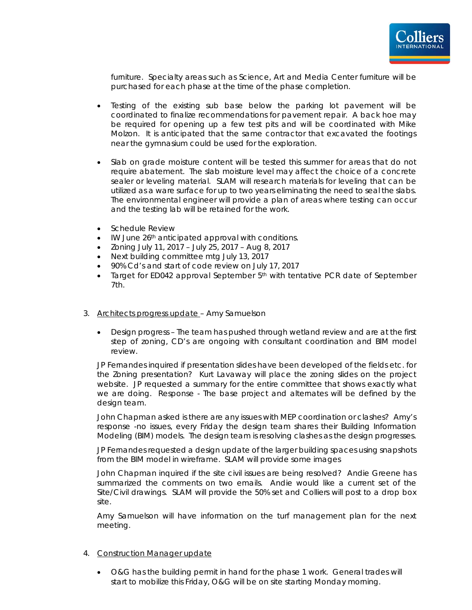

furniture. Specialty areas such as Science, Art and Media Center furniture will be purchased for each phase at the time of the phase completion.

- Testing of the existing sub base below the parking lot pavement will be coordinated to finalize recommendations for pavement repair. A back hoe may be required for opening up a few test pits and will be coordinated with Mike Molzon. It is anticipated that the same contractor that excavated the footings near the gymnasium could be used for the exploration.
- Slab on grade moisture content will be tested this summer for areas that do not require abatement. The slab moisture level may affect the choice of a concrete sealer or leveling material. SLAM will research materials for leveling that can be utilized as a ware surface for up to two years eliminating the need to seal the slabs. The environmental engineer will provide a plan of areas where testing can occur and the testing lab will be retained for the work.
- Schedule Review
- IW June 26<sup>th</sup> anticipated approval with conditions.
- Zoning July 11, 2017 July 25, 2017 Aug 8, 2017
- Next building committee mtg July 13, 2017
- 90% Cd's and start of code review on July 17, 2017
- Target for ED042 approval September 5<sup>th</sup> with tentative PCR date of September 7th.
- 3. Architects progress update Amy Samuelson
	- Design progress The team has pushed through wetland review and are at the first step of zoning, CD's are ongoing with consultant coordination and BIM model review.

JP Fernandes inquired if presentation slides have been developed of the fields etc. for the Zoning presentation? Kurt Lavaway will place the zoning slides on the project website. JP requested a summary for the entire committee that shows exactly what we are doing. Response - The base project and alternates will be defined by the design team.

John Chapman asked is there are any issues with MEP coordination or clashes? Amy's response -no issues, every Friday the design team shares their Building Information Modeling (BIM) models. The design team is resolving clashes as the design progresses.

JP Fernandes requested a design update of the larger building spaces using snapshots from the BIM model in wireframe. SLAM will provide some images

John Chapman inquired if the site civil issues are being resolved? Andie Greene has summarized the comments on two emails. Andie would like a current set of the Site/Civil drawings. SLAM will provide the 50% set and Colliers will post to a drop box site.

Amy Samuelson will have information on the turf management plan for the next meeting.

- 4. Construction Manager update
	- O&G has the building permit in hand for the phase 1 work. General trades will start to mobilize this Friday, O&G will be on site starting Monday morning.